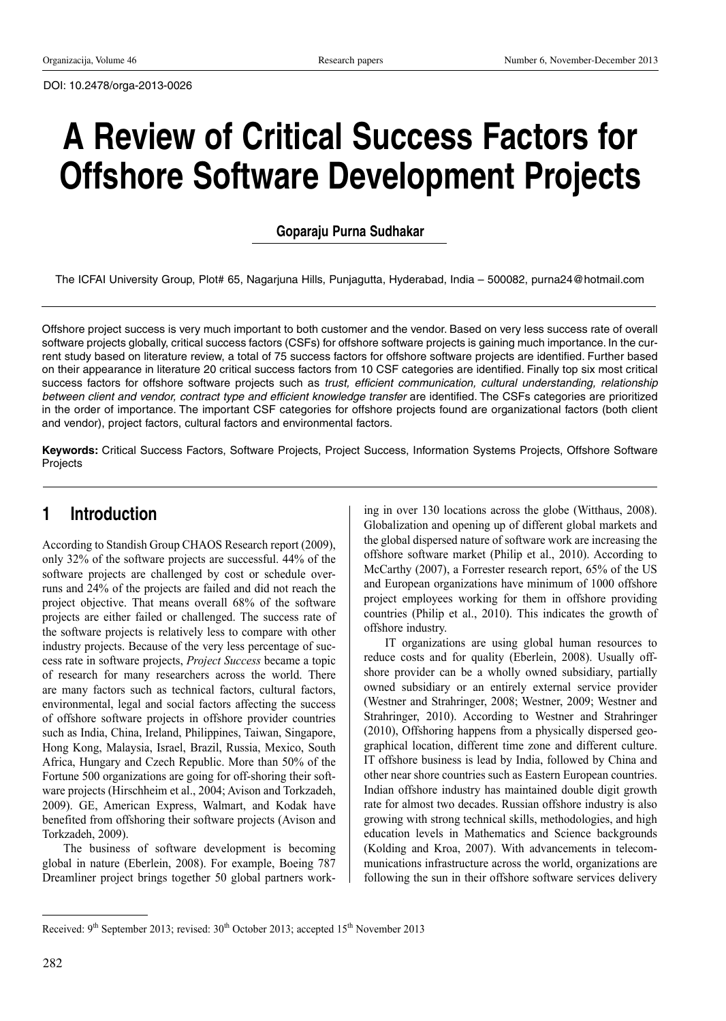# **A Review of Critical Success Factors for Offshore Software Development Projects**

### **Goparaju Purna Sudhakar**

The ICFAI University Group, Plot# 65, Nagarjuna Hills, Punjagutta, Hyderabad, India – 500082, purna24@hotmail.com

Offshore project success is very much important to both customer and the vendor. Based on very less success rate of overall software projects globally, critical success factors (CSFs) for offshore software projects is gaining much importance. In the current study based on literature review, a total of 75 success factors for offshore software projects are identified. Further based on their appearance in literature 20 critical success factors from 10 CSF categories are identified. Finally top six most critical success factors for offshore software projects such as trust, efficient communication, cultural understanding, relationship between client and vendor, contract type and efficient knowledge transfer are identified. The CSFs categories are prioritized in the order of importance. The important CSF categories for offshore projects found are organizational factors (both client and vendor), project factors, cultural factors and environmental factors.

**Keywords:** Critical Success Factors, Software Projects, Project Success, Information Systems Projects, Offshore Software **Projects** 

### **1 Introduction**

According to Standish Group CHAOS Research report (2009), only 32% of the software projects are successful. 44% of the software projects are challenged by cost or schedule overruns and 24% of the projects are failed and did not reach the project objective. That means overall 68% of the software projects are either failed or challenged. The success rate of the software projects is relatively less to compare with other industry projects. Because of the very less percentage of success rate in software projects, *Project Success* became a topic of research for many researchers across the world. There are many factors such as technical factors, cultural factors, environmental, legal and social factors affecting the success of offshore software projects in offshore provider countries such as India, China, Ireland, Philippines, Taiwan, Singapore, Hong Kong, Malaysia, Israel, Brazil, Russia, Mexico, South Africa, Hungary and Czech Republic. More than 50% of the Fortune 500 organizations are going for off-shoring their software projects (Hirschheim et al., 2004; Avison and Torkzadeh, 2009). GE, American Express, Walmart, and Kodak have benefited from offshoring their software projects (Avison and Torkzadeh, 2009).

The business of software development is becoming global in nature (Eberlein, 2008). For example, Boeing 787 Dreamliner project brings together 50 global partners working in over 130 locations across the globe (Witthaus, 2008). Globalization and opening up of different global markets and the global dispersed nature of software work are increasing the offshore software market (Philip et al., 2010). According to McCarthy (2007), a Forrester research report, 65% of the US and European organizations have minimum of 1000 offshore project employees working for them in offshore providing countries (Philip et al., 2010). This indicates the growth of offshore industry.

IT organizations are using global human resources to reduce costs and for quality (Eberlein, 2008). Usually offshore provider can be a wholly owned subsidiary, partially owned subsidiary or an entirely external service provider (Westner and Strahringer, 2008; Westner, 2009; Westner and Strahringer, 2010). According to Westner and Strahringer (2010), Offshoring happens from a physically dispersed geographical location, different time zone and different culture. IT offshore business is lead by India, followed by China and other near shore countries such as Eastern European countries. Indian offshore industry has maintained double digit growth rate for almost two decades. Russian offshore industry is also growing with strong technical skills, methodologies, and high education levels in Mathematics and Science backgrounds (Kolding and Kroa, 2007). With advancements in telecommunications infrastructure across the world, organizations are following the sun in their offshore software services delivery

Received:  $9<sup>th</sup>$  September 2013; revised:  $30<sup>th</sup>$  October 2013; accepted 15<sup>th</sup> November 2013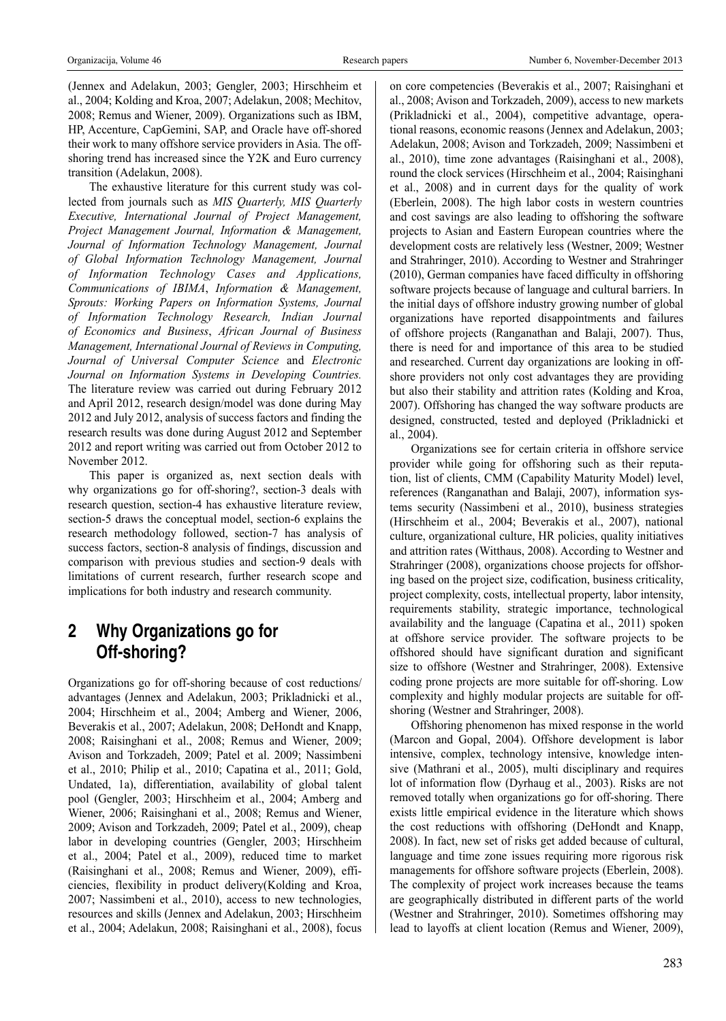(Jennex and Adelakun, 2003; Gengler, 2003; Hirschheim et al., 2004; Kolding and Kroa, 2007; Adelakun, 2008; Mechitov, 2008; Remus and Wiener, 2009). Organizations such as IBM, HP, Accenture, CapGemini, SAP, and Oracle have off-shored their work to many offshore service providers in Asia. The offshoring trend has increased since the Y2K and Euro currency transition (Adelakun, 2008).

The exhaustive literature for this current study was collected from journals such as *MIS Quarterly, MIS Quarterly Executive, International Journal of Project Management, Project Management Journal, Information & Management, Journal of Information Technology Management, Journal of Global Information Technology Management, Journal of Information Technology Cases and Applications, Communications of IBIMA*, *Information & Management, Sprouts: Working Papers on Information Systems, Journal of Information Technology Research, Indian Journal of Economics and Business*, *African Journal of Business Management, International Journal of Reviews in Computing, Journal of Universal Computer Science* and *Electronic Journal on Information Systems in Developing Countries.*  The literature review was carried out during February 2012 and April 2012, research design/model was done during May 2012 and July 2012, analysis of success factors and finding the research results was done during August 2012 and September 2012 and report writing was carried out from October 2012 to November 2012.

This paper is organized as, next section deals with why organizations go for off-shoring?, section-3 deals with research question, section-4 has exhaustive literature review, section-5 draws the conceptual model, section-6 explains the research methodology followed, section-7 has analysis of success factors, section-8 analysis of findings, discussion and comparison with previous studies and section-9 deals with limitations of current research, further research scope and implications for both industry and research community.

# **2 Why Organizations go for Off-shoring?**

Organizations go for off-shoring because of cost reductions/ advantages (Jennex and Adelakun, 2003; Prikladnicki et al., 2004; Hirschheim et al., 2004; Amberg and Wiener, 2006, Beverakis et al., 2007; Adelakun, 2008; DeHondt and Knapp, 2008; Raisinghani et al., 2008; Remus and Wiener, 2009; Avison and Torkzadeh, 2009; Patel et al. 2009; Nassimbeni et al., 2010; Philip et al., 2010; Capatina et al., 2011; Gold, Undated, 1a), differentiation, availability of global talent pool (Gengler, 2003; Hirschheim et al., 2004; Amberg and Wiener, 2006; Raisinghani et al., 2008; Remus and Wiener, 2009; Avison and Torkzadeh, 2009; Patel et al., 2009), cheap labor in developing countries (Gengler, 2003; Hirschheim et al., 2004; Patel et al., 2009), reduced time to market (Raisinghani et al., 2008; Remus and Wiener, 2009), efficiencies, flexibility in product delivery(Kolding and Kroa, 2007; Nassimbeni et al., 2010), access to new technologies, resources and skills (Jennex and Adelakun, 2003; Hirschheim et al., 2004; Adelakun, 2008; Raisinghani et al., 2008), focus on core competencies (Beverakis et al., 2007; Raisinghani et al., 2008; Avison and Torkzadeh, 2009), access to new markets (Prikladnicki et al., 2004), competitive advantage, operational reasons, economic reasons (Jennex and Adelakun, 2003; Adelakun, 2008; Avison and Torkzadeh, 2009; Nassimbeni et al., 2010), time zone advantages (Raisinghani et al., 2008), round the clock services (Hirschheim et al., 2004; Raisinghani et al., 2008) and in current days for the quality of work (Eberlein, 2008). The high labor costs in western countries and cost savings are also leading to offshoring the software projects to Asian and Eastern European countries where the development costs are relatively less (Westner, 2009; Westner and Strahringer, 2010). According to Westner and Strahringer (2010), German companies have faced difficulty in offshoring software projects because of language and cultural barriers. In the initial days of offshore industry growing number of global organizations have reported disappointments and failures of offshore projects (Ranganathan and Balaji, 2007). Thus, there is need for and importance of this area to be studied and researched. Current day organizations are looking in offshore providers not only cost advantages they are providing but also their stability and attrition rates (Kolding and Kroa, 2007). Offshoring has changed the way software products are designed, constructed, tested and deployed (Prikladnicki et al., 2004).

Organizations see for certain criteria in offshore service provider while going for offshoring such as their reputation, list of clients, CMM (Capability Maturity Model) level, references (Ranganathan and Balaji, 2007), information systems security (Nassimbeni et al., 2010), business strategies (Hirschheim et al., 2004; Beverakis et al., 2007), national culture, organizational culture, HR policies, quality initiatives and attrition rates (Witthaus, 2008). According to Westner and Strahringer (2008), organizations choose projects for offshoring based on the project size, codification, business criticality, project complexity, costs, intellectual property, labor intensity, requirements stability, strategic importance, technological availability and the language (Capatina et al., 2011) spoken at offshore service provider. The software projects to be offshored should have significant duration and significant size to offshore (Westner and Strahringer, 2008). Extensive coding prone projects are more suitable for off-shoring. Low complexity and highly modular projects are suitable for offshoring (Westner and Strahringer, 2008).

Offshoring phenomenon has mixed response in the world (Marcon and Gopal, 2004). Offshore development is labor intensive, complex, technology intensive, knowledge intensive (Mathrani et al., 2005), multi disciplinary and requires lot of information flow (Dyrhaug et al., 2003). Risks are not removed totally when organizations go for off-shoring. There exists little empirical evidence in the literature which shows the cost reductions with offshoring (DeHondt and Knapp, 2008). In fact, new set of risks get added because of cultural, language and time zone issues requiring more rigorous risk managements for offshore software projects (Eberlein, 2008). The complexity of project work increases because the teams are geographically distributed in different parts of the world (Westner and Strahringer, 2010). Sometimes offshoring may lead to layoffs at client location (Remus and Wiener, 2009),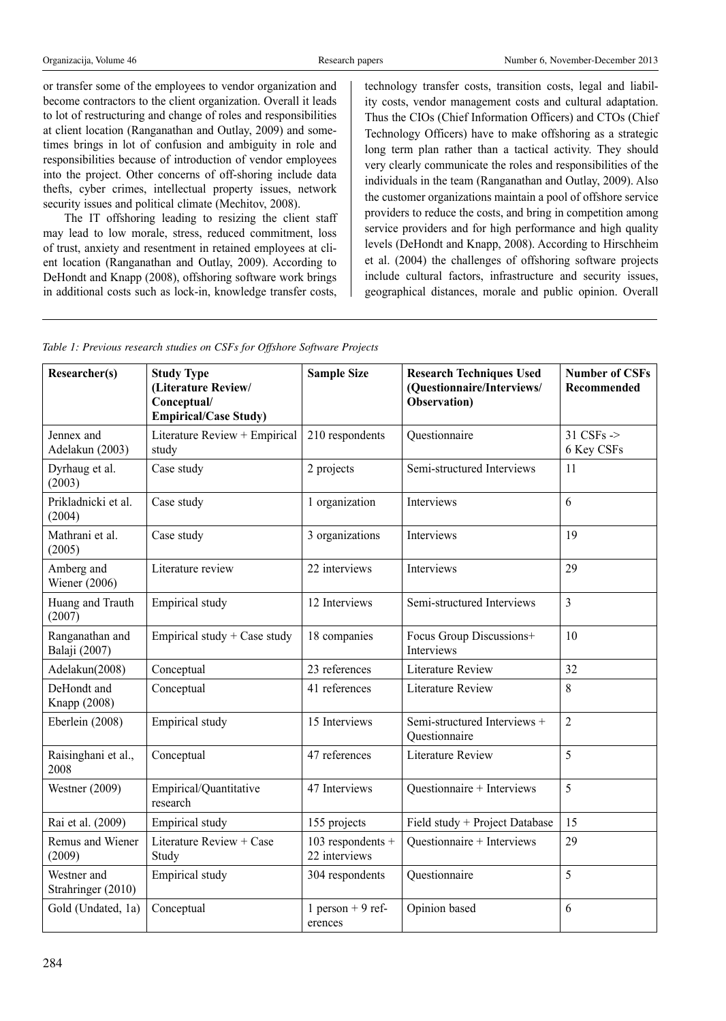or transfer some of the employees to vendor organization and become contractors to the client organization. Overall it leads to lot of restructuring and change of roles and responsibilities at client location (Ranganathan and Outlay, 2009) and sometimes brings in lot of confusion and ambiguity in role and responsibilities because of introduction of vendor employees into the project. Other concerns of off-shoring include data thefts, cyber crimes, intellectual property issues, network security issues and political climate (Mechitov, 2008).

The IT offshoring leading to resizing the client staff may lead to low morale, stress, reduced commitment, loss of trust, anxiety and resentment in retained employees at client location (Ranganathan and Outlay, 2009). According to DeHondt and Knapp (2008), offshoring software work brings in additional costs such as lock-in, knowledge transfer costs,

technology transfer costs, transition costs, legal and liability costs, vendor management costs and cultural adaptation. Thus the CIOs (Chief Information Officers) and CTOs (Chief Technology Officers) have to make offshoring as a strategic long term plan rather than a tactical activity. They should very clearly communicate the roles and responsibilities of the individuals in the team (Ranganathan and Outlay, 2009). Also the customer organizations maintain a pool of offshore service providers to reduce the costs, and bring in competition among service providers and for high performance and high quality levels (DeHondt and Knapp, 2008). According to Hirschheim et al. (2004) the challenges of offshoring software projects include cultural factors, infrastructure and security issues, geographical distances, morale and public opinion. Overall

| Researcher(s)                     | <b>Study Type</b><br>(Literature Review/<br>Conceptual/<br><b>Empirical/Case Study)</b> | <b>Sample Size</b>                   | <b>Research Techniques Used</b><br>(Questionnaire/Interviews/<br>Observation) | <b>Number of CSFs</b><br>Recommended |
|-----------------------------------|-----------------------------------------------------------------------------------------|--------------------------------------|-------------------------------------------------------------------------------|--------------------------------------|
| Jennex and<br>Adelakun (2003)     | Literature Review + Empirical<br>study                                                  | 210 respondents                      | Questionnaire                                                                 | $31$ CSFs $\ge$<br>6 Key CSFs        |
| Dyrhaug et al.<br>(2003)          | Case study                                                                              | 2 projects                           | Semi-structured Interviews                                                    | 11                                   |
| Prikladnicki et al.<br>(2004)     | Case study                                                                              | 1 organization                       | Interviews                                                                    | 6                                    |
| Mathrani et al.<br>(2005)         | Case study                                                                              | 3 organizations                      | Interviews                                                                    | 19                                   |
| Amberg and<br>Wiener $(2006)$     | Literature review                                                                       | 22 interviews                        | Interviews                                                                    | 29                                   |
| Huang and Trauth<br>(2007)        | Empirical study                                                                         | 12 Interviews                        | Semi-structured Interviews                                                    | $\mathfrak{Z}$                       |
| Ranganathan and<br>Balaji (2007)  | Empirical study + Case study                                                            | 18 companies                         | Focus Group Discussions+<br>Interviews                                        | 10                                   |
| Adelakun(2008)                    | Conceptual                                                                              | 23 references                        | <b>Literature Review</b>                                                      | 32                                   |
| DeHondt and<br>Knapp (2008)       | Conceptual                                                                              | 41 references                        | Literature Review                                                             | 8                                    |
| Eberlein (2008)                   | Empirical study                                                                         | 15 Interviews                        | Semi-structured Interviews +<br>Questionnaire                                 | $\overline{2}$                       |
| Raisinghani et al.,<br>2008       | Conceptual                                                                              | 47 references                        | Literature Review                                                             | 5                                    |
| Westner (2009)                    | Empirical/Quantitative<br>research                                                      | 47 Interviews                        | Questionnaire + Interviews                                                    | $\sqrt{5}$                           |
| Rai et al. (2009)                 | Empirical study                                                                         | 155 projects                         | Field study + Project Database                                                | 15                                   |
| Remus and Wiener<br>(2009)        | Literature Review + Case<br>Study                                                       | 103 respondents $+$<br>22 interviews | Questionnaire + Interviews                                                    | 29                                   |
| Westner and<br>Strahringer (2010) | Empirical study                                                                         | 304 respondents                      | Questionnaire                                                                 | 5                                    |
| Gold (Undated, 1a)                | Conceptual                                                                              | 1 person + 9 ref-<br>erences         | Opinion based                                                                 | 6                                    |

*Table 1: Previous research studies on CSFs for Offshore Software Projects*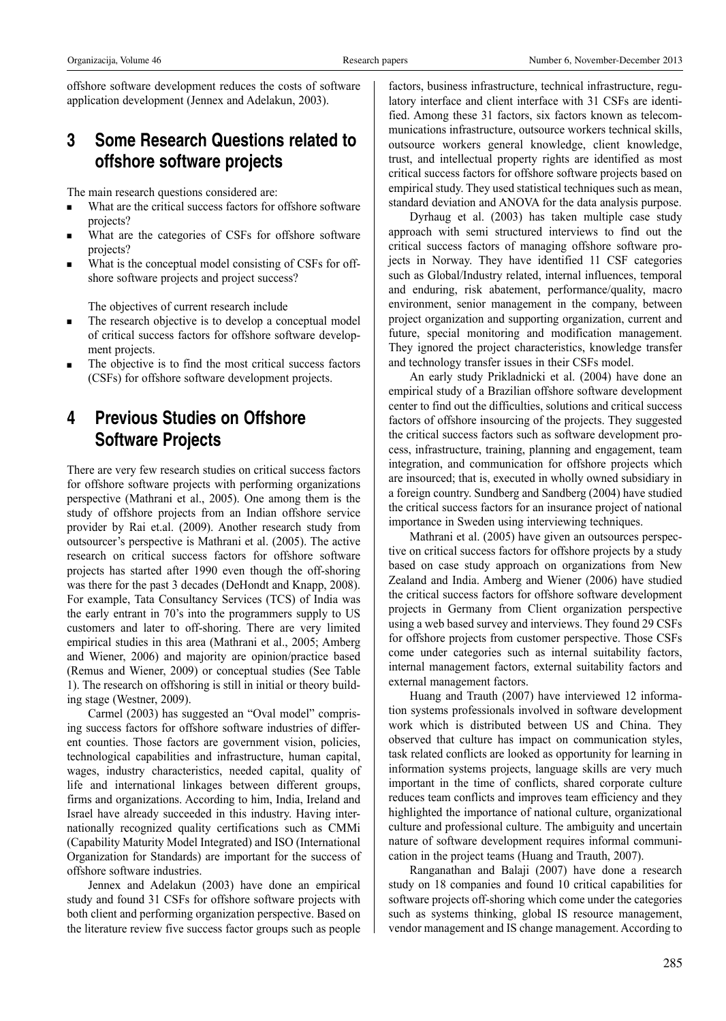offshore software development reduces the costs of software application development (Jennex and Adelakun, 2003).

# **3 Some Research Questions related to offshore software projects**

The main research questions considered are:

- What are the critical success factors for offshore software projects?
- What are the categories of CSFs for offshore software projects?
- What is the conceptual model consisting of CSFs for offshore software projects and project success?

The objectives of current research include

- The research objective is to develop a conceptual model of critical success factors for offshore software development projects.
- The objective is to find the most critical success factors (CSFs) for offshore software development projects.

# **4 Previous Studies on Offshore Software Projects**

There are very few research studies on critical success factors for offshore software projects with performing organizations perspective (Mathrani et al., 2005). One among them is the study of offshore projects from an Indian offshore service provider by Rai et.al. (2009). Another research study from outsourcer's perspective is Mathrani et al. (2005). The active research on critical success factors for offshore software projects has started after 1990 even though the off-shoring was there for the past 3 decades (DeHondt and Knapp, 2008). For example, Tata Consultancy Services (TCS) of India was the early entrant in 70's into the programmers supply to US customers and later to off-shoring. There are very limited empirical studies in this area (Mathrani et al., 2005; Amberg and Wiener, 2006) and majority are opinion/practice based (Remus and Wiener, 2009) or conceptual studies (See Table 1). The research on offshoring is still in initial or theory building stage (Westner, 2009).

Carmel (2003) has suggested an "Oval model" comprising success factors for offshore software industries of different counties. Those factors are government vision, policies, technological capabilities and infrastructure, human capital, wages, industry characteristics, needed capital, quality of life and international linkages between different groups, firms and organizations. According to him, India, Ireland and Israel have already succeeded in this industry. Having internationally recognized quality certifications such as CMMi (Capability Maturity Model Integrated) and ISO (International Organization for Standards) are important for the success of offshore software industries.

Jennex and Adelakun (2003) have done an empirical study and found 31 CSFs for offshore software projects with both client and performing organization perspective. Based on the literature review five success factor groups such as people factors, business infrastructure, technical infrastructure, regulatory interface and client interface with 31 CSFs are identified. Among these 31 factors, six factors known as telecommunications infrastructure, outsource workers technical skills, outsource workers general knowledge, client knowledge, trust, and intellectual property rights are identified as most critical success factors for offshore software projects based on empirical study. They used statistical techniques such as mean, standard deviation and ANOVA for the data analysis purpose.

Dyrhaug et al. (2003) has taken multiple case study approach with semi structured interviews to find out the critical success factors of managing offshore software projects in Norway. They have identified 11 CSF categories such as Global/Industry related, internal influences, temporal and enduring, risk abatement, performance/quality, macro environment, senior management in the company, between project organization and supporting organization, current and future, special monitoring and modification management. They ignored the project characteristics, knowledge transfer and technology transfer issues in their CSFs model.

An early study Prikladnicki et al. (2004) have done an empirical study of a Brazilian offshore software development center to find out the difficulties, solutions and critical success factors of offshore insourcing of the projects. They suggested the critical success factors such as software development process, infrastructure, training, planning and engagement, team integration, and communication for offshore projects which are insourced; that is, executed in wholly owned subsidiary in a foreign country. Sundberg and Sandberg (2004) have studied the critical success factors for an insurance project of national importance in Sweden using interviewing techniques.

Mathrani et al. (2005) have given an outsources perspective on critical success factors for offshore projects by a study based on case study approach on organizations from New Zealand and India. Amberg and Wiener (2006) have studied the critical success factors for offshore software development projects in Germany from Client organization perspective using a web based survey and interviews. They found 29 CSFs for offshore projects from customer perspective. Those CSFs come under categories such as internal suitability factors, internal management factors, external suitability factors and external management factors.

Huang and Trauth (2007) have interviewed 12 information systems professionals involved in software development work which is distributed between US and China. They observed that culture has impact on communication styles, task related conflicts are looked as opportunity for learning in information systems projects, language skills are very much important in the time of conflicts, shared corporate culture reduces team conflicts and improves team efficiency and they highlighted the importance of national culture, organizational culture and professional culture. The ambiguity and uncertain nature of software development requires informal communication in the project teams (Huang and Trauth, 2007).

Ranganathan and Balaji (2007) have done a research study on 18 companies and found 10 critical capabilities for software projects off-shoring which come under the categories such as systems thinking, global IS resource management, vendor management and IS change management. According to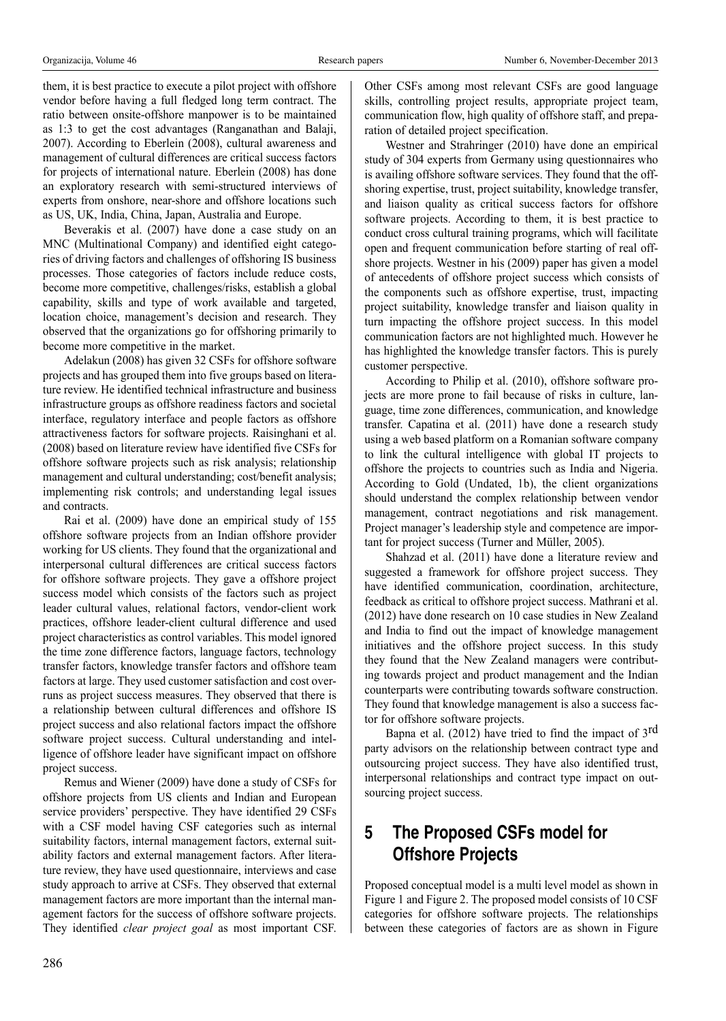them, it is best practice to execute a pilot project with offshore vendor before having a full fledged long term contract. The ratio between onsite-offshore manpower is to be maintained as 1:3 to get the cost advantages (Ranganathan and Balaji, 2007). According to Eberlein (2008), cultural awareness and management of cultural differences are critical success factors for projects of international nature. Eberlein (2008) has done an exploratory research with semi-structured interviews of experts from onshore, near-shore and offshore locations such as US, UK, India, China, Japan, Australia and Europe.

Beverakis et al. (2007) have done a case study on an MNC (Multinational Company) and identified eight categories of driving factors and challenges of offshoring IS business processes. Those categories of factors include reduce costs, become more competitive, challenges/risks, establish a global capability, skills and type of work available and targeted, location choice, management's decision and research. They observed that the organizations go for offshoring primarily to become more competitive in the market.

Adelakun (2008) has given 32 CSFs for offshore software projects and has grouped them into five groups based on literature review. He identified technical infrastructure and business infrastructure groups as offshore readiness factors and societal interface, regulatory interface and people factors as offshore attractiveness factors for software projects. Raisinghani et al. (2008) based on literature review have identified five CSFs for offshore software projects such as risk analysis; relationship management and cultural understanding; cost/benefit analysis; implementing risk controls; and understanding legal issues and contracts.

Rai et al. (2009) have done an empirical study of 155 offshore software projects from an Indian offshore provider working for US clients. They found that the organizational and interpersonal cultural differences are critical success factors for offshore software projects. They gave a offshore project success model which consists of the factors such as project leader cultural values, relational factors, vendor-client work practices, offshore leader-client cultural difference and used project characteristics as control variables. This model ignored the time zone difference factors, language factors, technology transfer factors, knowledge transfer factors and offshore team factors at large. They used customer satisfaction and cost overruns as project success measures. They observed that there is a relationship between cultural differences and offshore IS project success and also relational factors impact the offshore software project success. Cultural understanding and intelligence of offshore leader have significant impact on offshore project success.

Remus and Wiener (2009) have done a study of CSFs for offshore projects from US clients and Indian and European service providers' perspective. They have identified 29 CSFs with a CSF model having CSF categories such as internal suitability factors, internal management factors, external suitability factors and external management factors. After literature review, they have used questionnaire, interviews and case study approach to arrive at CSFs. They observed that external management factors are more important than the internal management factors for the success of offshore software projects. They identified *clear project goal* as most important CSF.

Other CSFs among most relevant CSFs are good language skills, controlling project results, appropriate project team, communication flow, high quality of offshore staff, and preparation of detailed project specification.

Westner and Strahringer (2010) have done an empirical study of 304 experts from Germany using questionnaires who is availing offshore software services. They found that the offshoring expertise, trust, project suitability, knowledge transfer, and liaison quality as critical success factors for offshore software projects. According to them, it is best practice to conduct cross cultural training programs, which will facilitate open and frequent communication before starting of real offshore projects. Westner in his (2009) paper has given a model of antecedents of offshore project success which consists of the components such as offshore expertise, trust, impacting project suitability, knowledge transfer and liaison quality in turn impacting the offshore project success. In this model communication factors are not highlighted much. However he has highlighted the knowledge transfer factors. This is purely customer perspective.

According to Philip et al. (2010), offshore software projects are more prone to fail because of risks in culture, language, time zone differences, communication, and knowledge transfer. Capatina et al. (2011) have done a research study using a web based platform on a Romanian software company to link the cultural intelligence with global IT projects to offshore the projects to countries such as India and Nigeria. According to Gold (Undated, 1b), the client organizations should understand the complex relationship between vendor management, contract negotiations and risk management. Project manager's leadership style and competence are important for project success (Turner and Müller, 2005).

Shahzad et al. (2011) have done a literature review and suggested a framework for offshore project success. They have identified communication, coordination, architecture, feedback as critical to offshore project success. Mathrani et al. (2012) have done research on 10 case studies in New Zealand and India to find out the impact of knowledge management initiatives and the offshore project success. In this study they found that the New Zealand managers were contributing towards project and product management and the Indian counterparts were contributing towards software construction. They found that knowledge management is also a success factor for offshore software projects.

Bapna et al. (2012) have tried to find the impact of 3rd party advisors on the relationship between contract type and outsourcing project success. They have also identified trust, interpersonal relationships and contract type impact on outsourcing project success.

# **5 The Proposed CSFs model for Offshore Projects**

Proposed conceptual model is a multi level model as shown in Figure 1 and Figure 2. The proposed model consists of 10 CSF categories for offshore software projects. The relationships between these categories of factors are as shown in Figure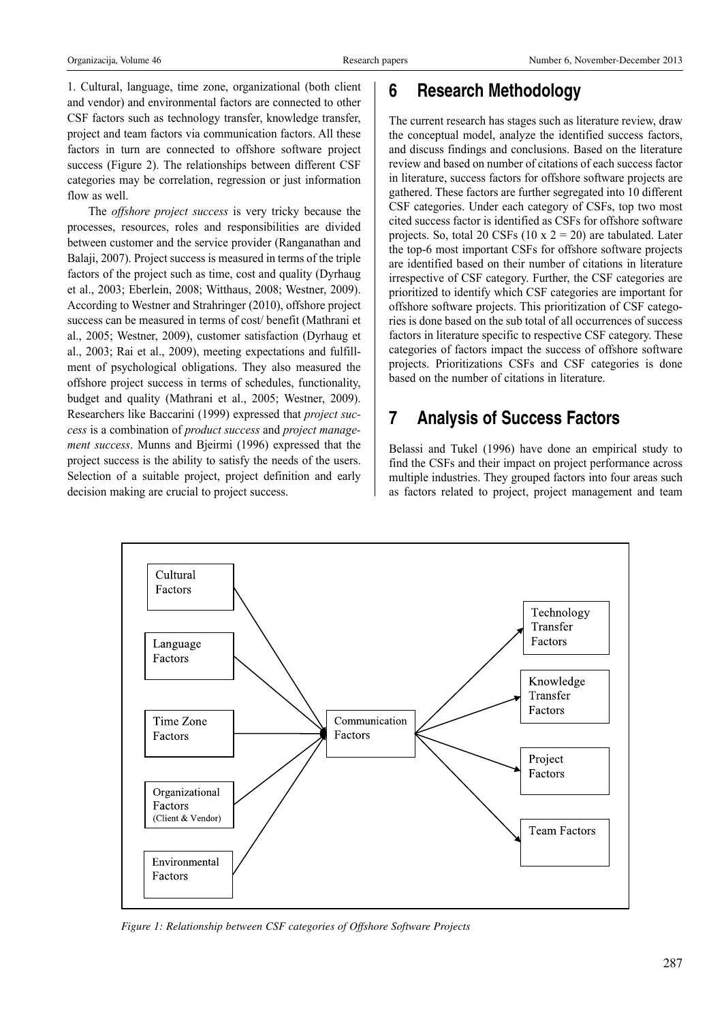1. Cultural, language, time zone, organizational (both client and vendor) and environmental factors are connected to other CSF factors such as technology transfer, knowledge transfer, project and team factors via communication factors. All these factors in turn are connected to offshore software project success (Figure 2). The relationships between different CSF categories may be correlation, regression or just information flow as well.

The *offshore project success* is very tricky because the processes, resources, roles and responsibilities are divided between customer and the service provider (Ranganathan and Balaji, 2007). Project success is measured in terms of the triple factors of the project such as time, cost and quality (Dyrhaug et al., 2003; Eberlein, 2008; Witthaus, 2008; Westner, 2009). According to Westner and Strahringer (2010), offshore project success can be measured in terms of cost/ benefit (Mathrani et al., 2005; Westner, 2009), customer satisfaction (Dyrhaug et al., 2003; Rai et al., 2009), meeting expectations and fulfillment of psychological obligations. They also measured the offshore project success in terms of schedules, functionality, budget and quality (Mathrani et al., 2005; Westner, 2009). Researchers like Baccarini (1999) expressed that *project success* is a combination of *product success* and *project management success*. Munns and Bjeirmi (1996) expressed that the project success is the ability to satisfy the needs of the users. Selection of a suitable project, project definition and early decision making are crucial to project success.

# **6 Research Methodology**

The current research has stages such as literature review, draw the conceptual model, analyze the identified success factors, and discuss findings and conclusions. Based on the literature review and based on number of citations of each success factor in literature, success factors for offshore software projects are gathered. These factors are further segregated into 10 different CSF categories. Under each category of CSFs, top two most cited success factor is identified as CSFs for offshore software projects. So, total 20 CSFs (10 x  $2 = 20$ ) are tabulated. Later the top-6 most important CSFs for offshore software projects are identified based on their number of citations in literature irrespective of CSF category. Further, the CSF categories are prioritized to identify which CSF categories are important for offshore software projects. This prioritization of CSF categories is done based on the sub total of all occurrences of success factors in literature specific to respective CSF category. These categories of factors impact the success of offshore software projects. Prioritizations CSFs and CSF categories is done based on the number of citations in literature.

# **7 Analysis of Success Factors**

Belassi and Tukel (1996) have done an empirical study to find the CSFs and their impact on project performance across multiple industries. They grouped factors into four areas such as factors related to project, project management and team



*Figure 1: Relationship between CSF categories of Offshore Software Projects*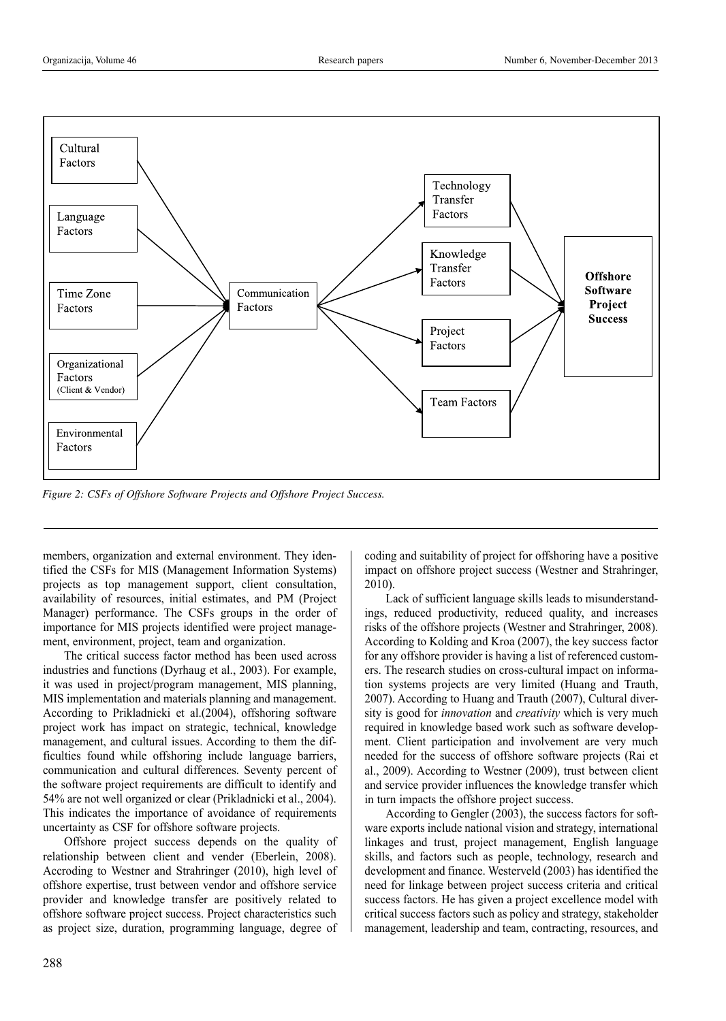

*Figure 2: CSFs of Offshore Software Projects and Offshore Project Success.*

members, organization and external environment. They identified the CSFs for MIS (Management Information Systems) projects as top management support, client consultation, availability of resources, initial estimates, and PM (Project Manager) performance. The CSFs groups in the order of importance for MIS projects identified were project management, environment, project, team and organization.

The critical success factor method has been used across industries and functions (Dyrhaug et al., 2003). For example, it was used in project/program management, MIS planning, MIS implementation and materials planning and management. According to Prikladnicki et al.(2004), offshoring software project work has impact on strategic, technical, knowledge management, and cultural issues. According to them the difficulties found while offshoring include language barriers, communication and cultural differences. Seventy percent of the software project requirements are difficult to identify and 54% are not well organized or clear (Prikladnicki et al., 2004). This indicates the importance of avoidance of requirements uncertainty as CSF for offshore software projects.

Offshore project success depends on the quality of relationship between client and vender (Eberlein, 2008). Accroding to Westner and Strahringer (2010), high level of offshore expertise, trust between vendor and offshore service provider and knowledge transfer are positively related to offshore software project success. Project characteristics such as project size, duration, programming language, degree of coding and suitability of project for offshoring have a positive impact on offshore project success (Westner and Strahringer, 2010).

Lack of sufficient language skills leads to misunderstandings, reduced productivity, reduced quality, and increases risks of the offshore projects (Westner and Strahringer, 2008). According to Kolding and Kroa (2007), the key success factor for any offshore provider is having a list of referenced customers. The research studies on cross-cultural impact on information systems projects are very limited (Huang and Trauth, 2007). According to Huang and Trauth (2007), Cultural diversity is good for *innovation* and *creativity* which is very much required in knowledge based work such as software development. Client participation and involvement are very much needed for the success of offshore software projects (Rai et al., 2009). According to Westner (2009), trust between client and service provider influences the knowledge transfer which in turn impacts the offshore project success.

According to Gengler (2003), the success factors for software exports include national vision and strategy, international linkages and trust, project management, English language skills, and factors such as people, technology, research and development and finance. Westerveld (2003) has identified the need for linkage between project success criteria and critical success factors. He has given a project excellence model with critical success factors such as policy and strategy, stakeholder management, leadership and team, contracting, resources, and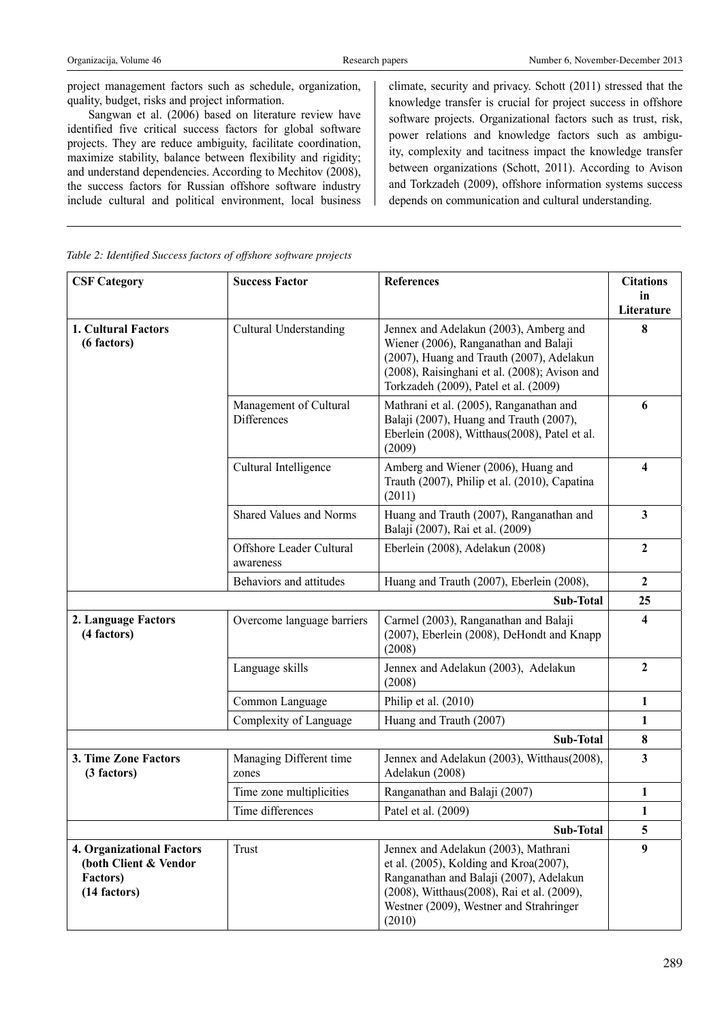project management factors such as schedule, organization, quality, budget, risks and project information.

Sangwan et al. (2006) based on literature review have identified five critical success factors for global software projects. They are reduce ambiguity, facilitate coordination, maximize stability, balance between flexibility and rigidity; and understand dependencies. According to Mechitov (2008), the success factors for Russian offshore software industry include cultural and political environment, local business

climate, security and privacy. Schott (2011) stressed that the knowledge transfer is crucial for project success in offshore software projects. Organizational factors such as trust, risk, power relations and knowledge factors such as ambiguity, complexity and tacitness impact the knowledge transfer between organizations (Schott, 2011). According to Avison and Torkzadeh (2009), offshore information systems success depends on communication and cultural understanding.

*Table 2: Identified Success factors of offshore software projects*

| <b>CSF Category</b>                                                                   | <b>Success Factor</b>                 | <b>References</b>                                                                                                                                                                                                            | <b>Citations</b>        |
|---------------------------------------------------------------------------------------|---------------------------------------|------------------------------------------------------------------------------------------------------------------------------------------------------------------------------------------------------------------------------|-------------------------|
|                                                                                       |                                       |                                                                                                                                                                                                                              | in<br>Literature        |
| 1. Cultural Factors<br>(6 factors)                                                    | <b>Cultural Understanding</b>         | Jennex and Adelakun (2003), Amberg and<br>Wiener (2006), Ranganathan and Balaji<br>(2007), Huang and Trauth (2007), Adelakun<br>(2008), Raisinghani et al. (2008); Avison and<br>Torkzadeh (2009), Patel et al. (2009)       | 8                       |
|                                                                                       | Management of Cultural<br>Differences | Mathrani et al. (2005), Ranganathan and<br>Balaji (2007), Huang and Trauth (2007),<br>Eberlein (2008), Witthaus(2008), Patel et al.<br>(2009)                                                                                | 6                       |
|                                                                                       | Cultural Intelligence                 | Amberg and Wiener (2006), Huang and<br>Trauth (2007), Philip et al. (2010), Capatina<br>(2011)                                                                                                                               | $\overline{\mathbf{4}}$ |
|                                                                                       | <b>Shared Values and Norms</b>        | Huang and Trauth (2007), Ranganathan and<br>Balaji (2007), Rai et al. (2009)                                                                                                                                                 | $\mathbf{3}$            |
|                                                                                       | Offshore Leader Cultural<br>awareness | Eberlein (2008), Adelakun (2008)                                                                                                                                                                                             | $\mathbf{2}$            |
|                                                                                       | Behaviors and attitudes               | Huang and Trauth (2007), Eberlein (2008),                                                                                                                                                                                    | $\mathbf{2}$            |
|                                                                                       |                                       | Sub-Total                                                                                                                                                                                                                    | 25                      |
| 2. Language Factors<br>(4 factors)                                                    | Overcome language barriers            | Carmel (2003), Ranganathan and Balaji<br>(2007), Eberlein (2008), DeHondt and Knapp<br>(2008)                                                                                                                                | 4                       |
|                                                                                       | Language skills                       | Jennex and Adelakun (2003), Adelakun<br>(2008)                                                                                                                                                                               | $\boldsymbol{2}$        |
|                                                                                       | Common Language                       | Philip et al. (2010)                                                                                                                                                                                                         | $\mathbf{1}$            |
|                                                                                       | Complexity of Language                | Huang and Trauth (2007)                                                                                                                                                                                                      | $\mathbf{1}$            |
|                                                                                       |                                       | Sub-Total                                                                                                                                                                                                                    | 8                       |
| 3. Time Zone Factors<br>(3 factors)                                                   | Managing Different time<br>zones      | Jennex and Adelakun (2003), Witthaus(2008),<br>Adelakun (2008)                                                                                                                                                               | $\mathbf{3}$            |
|                                                                                       | Time zone multiplicities              | Ranganathan and Balaji (2007)                                                                                                                                                                                                | $\mathbf{1}$            |
|                                                                                       | Time differences                      | Patel et al. (2009)                                                                                                                                                                                                          | $\mathbf{1}$            |
|                                                                                       |                                       | Sub-Total                                                                                                                                                                                                                    | 5                       |
| <b>4. Organizational Factors</b><br>(both Client & Vendor<br>Factors)<br>(14 factors) | Trust                                 | Jennex and Adelakun (2003), Mathrani<br>et al. (2005), Kolding and Kroa(2007),<br>Ranganathan and Balaji (2007), Adelakun<br>(2008), Witthaus(2008), Rai et al. (2009),<br>Westner (2009), Westner and Strahringer<br>(2010) | $\boldsymbol{9}$        |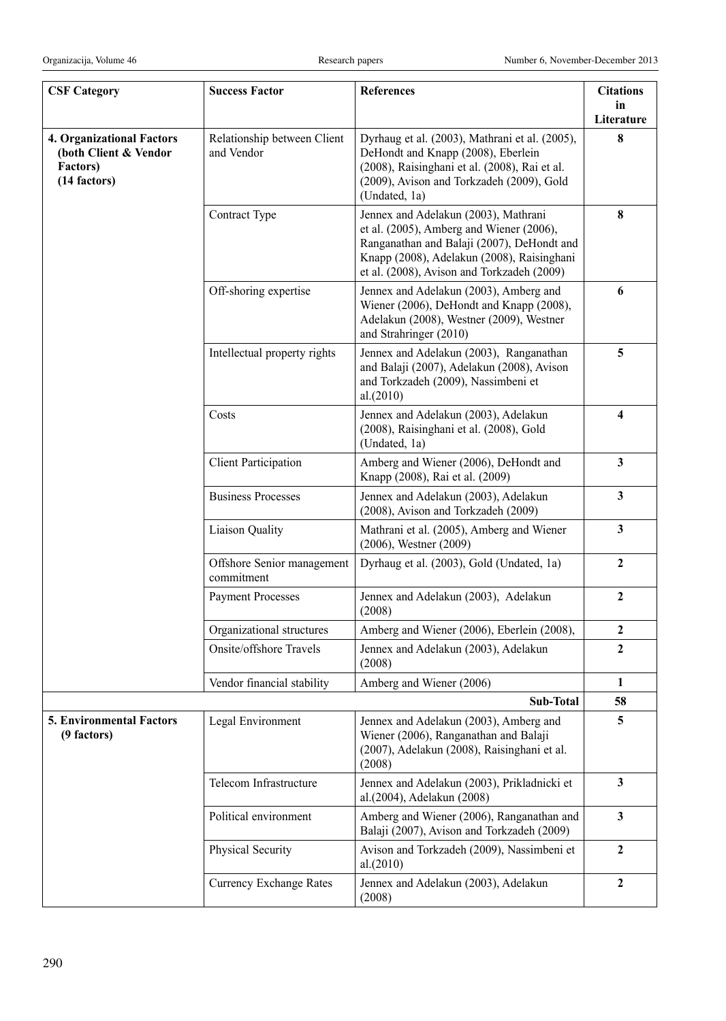| <b>CSF Category</b>                                                                   | <b>Success Factor</b>                     | <b>References</b>                                                                                                                                                                                                          | <b>Citations</b>        |
|---------------------------------------------------------------------------------------|-------------------------------------------|----------------------------------------------------------------------------------------------------------------------------------------------------------------------------------------------------------------------------|-------------------------|
|                                                                                       |                                           |                                                                                                                                                                                                                            | in<br>Literature        |
| <b>4. Organizational Factors</b><br>(both Client & Vendor<br>Factors)<br>(14 factors) | Relationship between Client<br>and Vendor | Dyrhaug et al. (2003), Mathrani et al. (2005),<br>DeHondt and Knapp (2008), Eberlein<br>(2008), Raisinghani et al. (2008), Rai et al.<br>(2009), Avison and Torkzadeh (2009), Gold<br>(Undated, 1a)                        | 8                       |
|                                                                                       | Contract Type                             | Jennex and Adelakun (2003), Mathrani<br>et al. (2005), Amberg and Wiener (2006),<br>Ranganathan and Balaji (2007), DeHondt and<br>Knapp (2008), Adelakun (2008), Raisinghani<br>et al. (2008), Avison and Torkzadeh (2009) | 8                       |
|                                                                                       | Off-shoring expertise                     | Jennex and Adelakun (2003), Amberg and<br>Wiener (2006), DeHondt and Knapp (2008),<br>Adelakun (2008), Westner (2009), Westner<br>and Strahringer (2010)                                                                   | 6                       |
|                                                                                       | Intellectual property rights              | Jennex and Adelakun (2003), Ranganathan<br>and Balaji (2007), Adelakun (2008), Avison<br>and Torkzadeh (2009), Nassimbeni et<br>al.(2010)                                                                                  | 5                       |
|                                                                                       | Costs                                     | Jennex and Adelakun (2003), Adelakun<br>(2008), Raisinghani et al. (2008), Gold<br>(Undated, 1a)                                                                                                                           | 4                       |
|                                                                                       | <b>Client Participation</b>               | Amberg and Wiener (2006), DeHondt and<br>Knapp (2008), Rai et al. (2009)                                                                                                                                                   | 3                       |
|                                                                                       | <b>Business Processes</b>                 | Jennex and Adelakun (2003), Adelakun<br>(2008), Avison and Torkzadeh (2009)                                                                                                                                                | 3                       |
|                                                                                       | <b>Liaison Quality</b>                    | Mathrani et al. (2005), Amberg and Wiener<br>$(2006)$ , Westner $(2009)$                                                                                                                                                   | 3                       |
|                                                                                       | Offshore Senior management<br>commitment  | Dyrhaug et al. (2003), Gold (Undated, 1a)                                                                                                                                                                                  | $\boldsymbol{2}$        |
|                                                                                       | <b>Payment Processes</b>                  | Jennex and Adelakun (2003), Adelakun<br>(2008)                                                                                                                                                                             | $\boldsymbol{2}$        |
|                                                                                       | Organizational structures                 | Amberg and Wiener (2006), Eberlein (2008),                                                                                                                                                                                 | $\boldsymbol{2}$        |
|                                                                                       | Onsite/offshore Travels                   | Jennex and Adelakun (2003), Adelakun<br>(2008)                                                                                                                                                                             | $\boldsymbol{2}$        |
|                                                                                       | Vendor financial stability                | Amberg and Wiener (2006)                                                                                                                                                                                                   | 1                       |
|                                                                                       |                                           | Sub-Total                                                                                                                                                                                                                  | 58                      |
| <b>5. Environmental Factors</b><br>(9 factors)                                        | Legal Environment                         | Jennex and Adelakun (2003), Amberg and<br>Wiener (2006), Ranganathan and Balaji<br>(2007), Adelakun (2008), Raisinghani et al.<br>(2008)                                                                                   | 5                       |
|                                                                                       | Telecom Infrastructure                    | Jennex and Adelakun (2003), Prikladnicki et<br>al.(2004), Adelakun (2008)                                                                                                                                                  | 3                       |
|                                                                                       | Political environment                     | Amberg and Wiener (2006), Ranganathan and<br>Balaji (2007), Avison and Torkzadeh (2009)                                                                                                                                    | $\overline{\mathbf{3}}$ |
|                                                                                       | Physical Security                         | Avison and Torkzadeh (2009), Nassimbeni et<br>al.(2010)                                                                                                                                                                    | $\boldsymbol{2}$        |
|                                                                                       | <b>Currency Exchange Rates</b>            | Jennex and Adelakun (2003), Adelakun<br>(2008)                                                                                                                                                                             | $\boldsymbol{2}$        |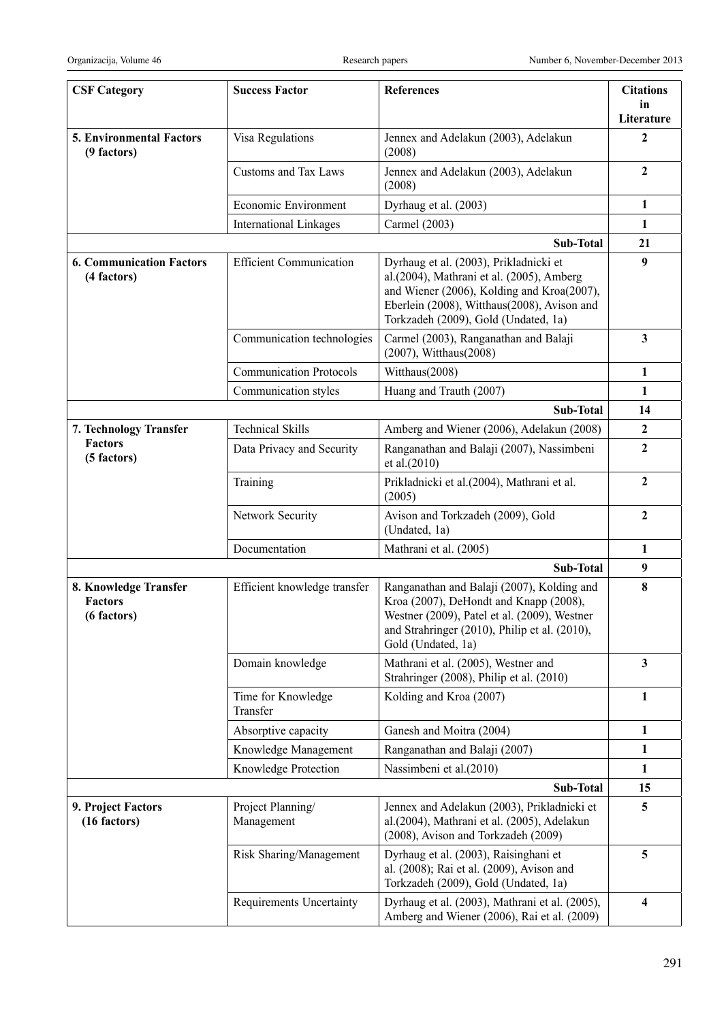| <b>CSF Category</b>                                    | <b>Success Factor</b>           | References                                                                                                                                                                                                               | <b>Citations</b>        |
|--------------------------------------------------------|---------------------------------|--------------------------------------------------------------------------------------------------------------------------------------------------------------------------------------------------------------------------|-------------------------|
|                                                        |                                 |                                                                                                                                                                                                                          | in<br>Literature        |
| <b>5. Environmental Factors</b><br>(9 factors)         | Visa Regulations                | Jennex and Adelakun (2003), Adelakun<br>(2008)                                                                                                                                                                           | $\mathbf{2}$            |
|                                                        | Customs and Tax Laws            | Jennex and Adelakun (2003), Adelakun<br>(2008)                                                                                                                                                                           | $\overline{2}$          |
| Economic Environment<br>Dyrhaug et al. (2003)          |                                 | $\mathbf{1}$                                                                                                                                                                                                             |                         |
| Carmel (2003)<br><b>International Linkages</b>         |                                 | 1                                                                                                                                                                                                                        |                         |
|                                                        |                                 | <b>Sub-Total</b>                                                                                                                                                                                                         | 21                      |
| <b>6. Communication Factors</b><br>(4 factors)         | <b>Efficient Communication</b>  | Dyrhaug et al. (2003), Prikladnicki et<br>al.(2004), Mathrani et al. (2005), Amberg<br>and Wiener (2006), Kolding and Kroa(2007),<br>Eberlein (2008), Witthaus(2008), Avison and<br>Torkzadeh (2009), Gold (Undated, 1a) | 9                       |
|                                                        | Communication technologies      | Carmel (2003), Ranganathan and Balaji<br>(2007), Witthaus(2008)                                                                                                                                                          | 3                       |
|                                                        | <b>Communication Protocols</b>  | Witthaus(2008)                                                                                                                                                                                                           | $\mathbf{1}$            |
|                                                        | Communication styles            | Huang and Trauth (2007)                                                                                                                                                                                                  | $\mathbf{1}$            |
|                                                        |                                 | Sub-Total                                                                                                                                                                                                                | 14                      |
| 7. Technology Transfer                                 | <b>Technical Skills</b>         | Amberg and Wiener (2006), Adelakun (2008)                                                                                                                                                                                | $\boldsymbol{2}$        |
| <b>Factors</b><br>(5 factors)                          | Data Privacy and Security       | Ranganathan and Balaji (2007), Nassimbeni<br>et al.(2010)                                                                                                                                                                | $\boldsymbol{2}$        |
|                                                        | Training                        | Prikladnicki et al.(2004), Mathrani et al.<br>(2005)                                                                                                                                                                     | $\mathbf{2}$            |
|                                                        | Network Security                | Avison and Torkzadeh (2009), Gold<br>(Undated, 1a)                                                                                                                                                                       | $\boldsymbol{2}$        |
|                                                        | Documentation                   | Mathrani et al. (2005)                                                                                                                                                                                                   | $\mathbf{1}$            |
|                                                        |                                 | Sub-Total                                                                                                                                                                                                                | 9                       |
| 8. Knowledge Transfer<br><b>Factors</b><br>(6 factors) | Efficient knowledge transfer    | Ranganathan and Balaji (2007), Kolding and<br>Kroa (2007), DeHondt and Knapp (2008),<br>Westner (2009), Patel et al. (2009), Westner<br>and Strahringer (2010), Philip et al. (2010),<br>Gold (Undated, 1a)              | 8                       |
|                                                        | Domain knowledge                | Mathrani et al. (2005), Westner and<br>Strahringer (2008), Philip et al. (2010)                                                                                                                                          | $\mathbf{3}$            |
|                                                        | Time for Knowledge<br>Transfer  | Kolding and Kroa (2007)                                                                                                                                                                                                  | 1                       |
|                                                        | Absorptive capacity             | Ganesh and Moitra (2004)                                                                                                                                                                                                 | 1                       |
|                                                        | Knowledge Management            | Ranganathan and Balaji (2007)                                                                                                                                                                                            | $\mathbf{1}$            |
|                                                        | Knowledge Protection            | Nassimbeni et al.(2010)                                                                                                                                                                                                  | $\mathbf{1}$            |
|                                                        |                                 | Sub-Total                                                                                                                                                                                                                | 15                      |
| 9. Project Factors<br>(16 factors)                     | Project Planning/<br>Management | Jennex and Adelakun (2003), Prikladnicki et<br>al.(2004), Mathrani et al. (2005), Adelakun<br>(2008), Avison and Torkzadeh (2009)                                                                                        | 5                       |
|                                                        | Risk Sharing/Management         | Dyrhaug et al. (2003), Raisinghani et<br>al. (2008); Rai et al. (2009), Avison and<br>Torkzadeh (2009), Gold (Undated, 1a)                                                                                               | 5                       |
|                                                        | Requirements Uncertainty        | Dyrhaug et al. (2003), Mathrani et al. (2005),<br>Amberg and Wiener (2006), Rai et al. (2009)                                                                                                                            | $\overline{\mathbf{4}}$ |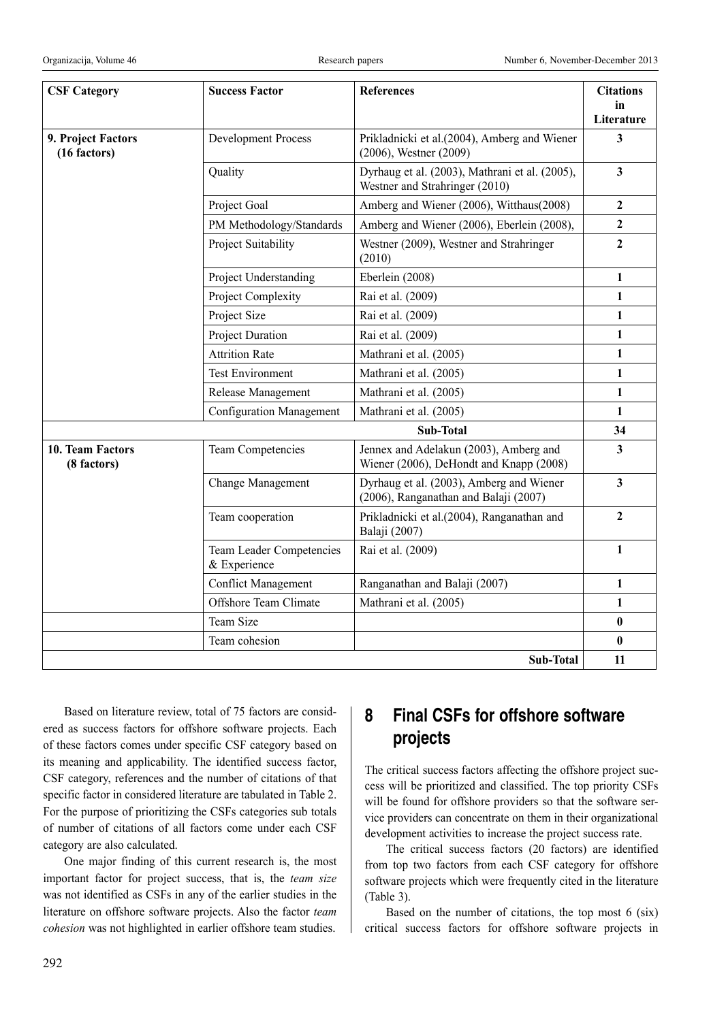| <b>CSF Category</b>                | <b>Success Factor</b>                           | <b>References</b>                                                                 | <b>Citations</b><br>in<br>Literature |
|------------------------------------|-------------------------------------------------|-----------------------------------------------------------------------------------|--------------------------------------|
| 9. Project Factors<br>(16 factors) | <b>Development Process</b>                      | Prikladnicki et al.(2004), Amberg and Wiener<br>$(2006)$ , Westner $(2009)$       | 3                                    |
|                                    | Quality                                         | Dyrhaug et al. (2003), Mathrani et al. (2005),<br>Westner and Strahringer (2010)  | $\mathbf{3}$                         |
|                                    | Project Goal                                    | Amberg and Wiener (2006), Witthaus(2008)                                          | 2                                    |
|                                    | PM Methodology/Standards                        | Amberg and Wiener (2006), Eberlein (2008),                                        | $\mathbf{2}$                         |
|                                    | Project Suitability                             | Westner (2009), Westner and Strahringer<br>(2010)                                 | 2                                    |
|                                    | Project Understanding                           | Eberlein (2008)                                                                   | 1                                    |
|                                    | Project Complexity                              | Rai et al. (2009)                                                                 | 1                                    |
|                                    | Project Size                                    | Rai et al. (2009)                                                                 | $\mathbf{1}$                         |
|                                    | <b>Project Duration</b>                         | Rai et al. (2009)                                                                 | $\mathbf{1}$                         |
|                                    | <b>Attrition Rate</b>                           | Mathrani et al. (2005)                                                            | $\mathbf{1}$                         |
|                                    | <b>Test Environment</b>                         | Mathrani et al. (2005)                                                            | 1                                    |
|                                    | Release Management                              | Mathrani et al. (2005)                                                            | $\mathbf{1}$                         |
|                                    | <b>Configuration Management</b>                 | Mathrani et al. (2005)                                                            | $\mathbf{1}$                         |
|                                    |                                                 | Sub-Total                                                                         | 34                                   |
| 10. Team Factors<br>(8 factors)    | <b>Team Competencies</b>                        | Jennex and Adelakun (2003), Amberg and<br>Wiener (2006), DeHondt and Knapp (2008) | 3                                    |
|                                    | Change Management                               | Dyrhaug et al. (2003), Amberg and Wiener<br>(2006), Ranganathan and Balaji (2007) | $\overline{\mathbf{3}}$              |
|                                    | Team cooperation                                | Prikladnicki et al.(2004), Ranganathan and<br>Balaji (2007)                       | $\overline{2}$                       |
|                                    | <b>Team Leader Competencies</b><br>& Experience | Rai et al. (2009)                                                                 | $\mathbf{1}$                         |
|                                    | <b>Conflict Management</b>                      | Ranganathan and Balaji (2007)                                                     | $\mathbf{1}$                         |
|                                    | Offshore Team Climate                           | Mathrani et al. (2005)                                                            | 1                                    |
|                                    | Team Size                                       |                                                                                   | $\boldsymbol{0}$                     |
|                                    | Team cohesion                                   |                                                                                   | $\bf{0}$                             |
|                                    |                                                 | Sub-Total                                                                         | 11                                   |

Based on literature review, total of 75 factors are considered as success factors for offshore software projects. Each of these factors comes under specific CSF category based on its meaning and applicability. The identified success factor, CSF category, references and the number of citations of that specific factor in considered literature are tabulated in Table 2. For the purpose of prioritizing the CSFs categories sub totals of number of citations of all factors come under each CSF category are also calculated.

One major finding of this current research is, the most important factor for project success, that is, the *team size* was not identified as CSFs in any of the earlier studies in the literature on offshore software projects. Also the factor *team cohesion* was not highlighted in earlier offshore team studies.

# **8 Final CSFs for offshore software projects**

The critical success factors affecting the offshore project success will be prioritized and classified. The top priority CSFs will be found for offshore providers so that the software service providers can concentrate on them in their organizational development activities to increase the project success rate.

The critical success factors (20 factors) are identified from top two factors from each CSF category for offshore software projects which were frequently cited in the literature (Table 3).

Based on the number of citations, the top most 6 (six) critical success factors for offshore software projects in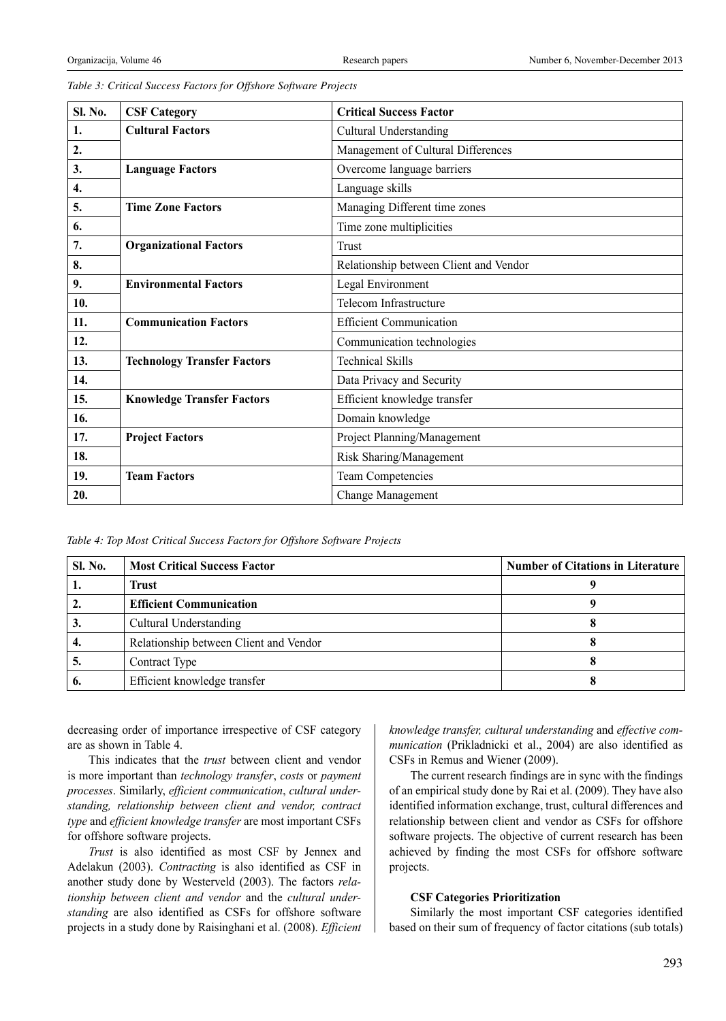| <b>Sl. No.</b> | <b>CSF Category</b>                                               | <b>Critical Success Factor</b>         |  |
|----------------|-------------------------------------------------------------------|----------------------------------------|--|
| 1.             | <b>Cultural Factors</b>                                           | <b>Cultural Understanding</b>          |  |
| 2.             |                                                                   | Management of Cultural Differences     |  |
| 3.             | <b>Language Factors</b>                                           | Overcome language barriers             |  |
| 4.             |                                                                   | Language skills                        |  |
| 5.             | <b>Time Zone Factors</b>                                          | Managing Different time zones          |  |
| 6.             |                                                                   | Time zone multiplicities               |  |
| 7.             | <b>Organizational Factors</b>                                     | Trust                                  |  |
| 8.             |                                                                   | Relationship between Client and Vendor |  |
| 9.             | <b>Environmental Factors</b>                                      | Legal Environment                      |  |
| 10.            | Telecom Infrastructure                                            |                                        |  |
| 11.            | <b>Communication Factors</b>                                      | <b>Efficient Communication</b>         |  |
| 12.            |                                                                   | Communication technologies             |  |
| 13.            | <b>Technology Transfer Factors</b>                                | <b>Technical Skills</b>                |  |
| 14.            |                                                                   | Data Privacy and Security              |  |
| 15.            | <b>Knowledge Transfer Factors</b><br>Efficient knowledge transfer |                                        |  |
| 16.            | Domain knowledge                                                  |                                        |  |
| 17.            | <b>Project Factors</b>                                            | Project Planning/Management            |  |
| 18.            |                                                                   | Risk Sharing/Management                |  |
| 19.            | <b>Team Factors</b>                                               | <b>Team Competencies</b>               |  |
| 20.            |                                                                   | Change Management                      |  |

*Table 3: Critical Success Factors for Offshore Software Projects*

*Table 4: Top Most Critical Success Factors for Offshore Software Projects*

| <b>Sl. No.</b> | <b>Most Critical Success Factor</b>    | <b>Number of Citations in Literature</b> |
|----------------|----------------------------------------|------------------------------------------|
| ı.             | <b>Trust</b>                           |                                          |
| 2.             | <b>Efficient Communication</b>         |                                          |
| 3.             | Cultural Understanding                 |                                          |
| 4.             | Relationship between Client and Vendor |                                          |
| 5.             | Contract Type                          |                                          |
| o.             | Efficient knowledge transfer           |                                          |

decreasing order of importance irrespective of CSF category are as shown in Table 4.

This indicates that the *trust* between client and vendor is more important than *technology transfer*, *costs* or *payment processes*. Similarly, *efficient communication*, *cultural understanding, relationship between client and vendor, contract type* and *efficient knowledge transfer* are most important CSFs for offshore software projects.

*Trust* is also identified as most CSF by Jennex and Adelakun (2003). *Contracting* is also identified as CSF in another study done by Westerveld (2003). The factors *relationship between client and vendor* and the *cultural understanding* are also identified as CSFs for offshore software projects in a study done by Raisinghani et al. (2008). *Efficient*  *knowledge transfer, cultural understanding* and *effective communication* (Prikladnicki et al., 2004) are also identified as CSFs in Remus and Wiener (2009).

The current research findings are in sync with the findings of an empirical study done by Rai et al. (2009). They have also identified information exchange, trust, cultural differences and relationship between client and vendor as CSFs for offshore software projects. The objective of current research has been achieved by finding the most CSFs for offshore software projects.

#### **CSF Categories Prioritization**

Similarly the most important CSF categories identified based on their sum of frequency of factor citations (sub totals)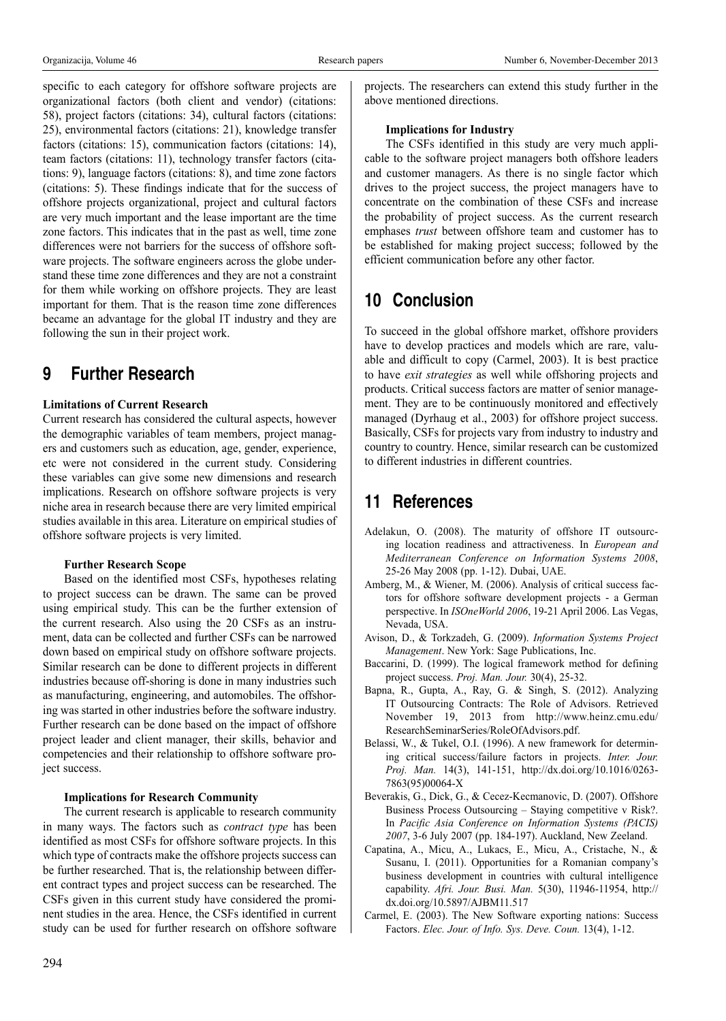specific to each category for offshore software projects are organizational factors (both client and vendor) (citations: 58), project factors (citations: 34), cultural factors (citations: 25), environmental factors (citations: 21), knowledge transfer factors (citations: 15), communication factors (citations: 14), team factors (citations: 11), technology transfer factors (citations: 9), language factors (citations: 8), and time zone factors (citations: 5). These findings indicate that for the success of offshore projects organizational, project and cultural factors are very much important and the lease important are the time zone factors. This indicates that in the past as well, time zone differences were not barriers for the success of offshore software projects. The software engineers across the globe understand these time zone differences and they are not a constraint for them while working on offshore projects. They are least important for them. That is the reason time zone differences became an advantage for the global IT industry and they are following the sun in their project work.

# **9 Further Research**

### **Limitations of Current Research**

Current research has considered the cultural aspects, however the demographic variables of team members, project managers and customers such as education, age, gender, experience, etc were not considered in the current study. Considering these variables can give some new dimensions and research implications. Research on offshore software projects is very niche area in research because there are very limited empirical studies available in this area. Literature on empirical studies of offshore software projects is very limited.

### **Further Research Scope**

Based on the identified most CSFs, hypotheses relating to project success can be drawn. The same can be proved using empirical study. This can be the further extension of the current research. Also using the 20 CSFs as an instrument, data can be collected and further CSFs can be narrowed down based on empirical study on offshore software projects. Similar research can be done to different projects in different industries because off-shoring is done in many industries such as manufacturing, engineering, and automobiles. The offshoring was started in other industries before the software industry. Further research can be done based on the impact of offshore project leader and client manager, their skills, behavior and competencies and their relationship to offshore software project success.

### **Implications for Research Community**

The current research is applicable to research community in many ways. The factors such as *contract type* has been identified as most CSFs for offshore software projects. In this which type of contracts make the offshore projects success can be further researched. That is, the relationship between different contract types and project success can be researched. The CSFs given in this current study have considered the prominent studies in the area. Hence, the CSFs identified in current study can be used for further research on offshore software projects. The researchers can extend this study further in the above mentioned directions.

#### **Implications for Industry**

The CSFs identified in this study are very much applicable to the software project managers both offshore leaders and customer managers. As there is no single factor which drives to the project success, the project managers have to concentrate on the combination of these CSFs and increase the probability of project success. As the current research emphases *trust* between offshore team and customer has to be established for making project success; followed by the efficient communication before any other factor.

# **10 Conclusion**

To succeed in the global offshore market, offshore providers have to develop practices and models which are rare, valuable and difficult to copy (Carmel, 2003). It is best practice to have *exit strategies* as well while offshoring projects and products. Critical success factors are matter of senior management. They are to be continuously monitored and effectively managed (Dyrhaug et al., 2003) for offshore project success. Basically, CSFs for projects vary from industry to industry and country to country. Hence, similar research can be customized to different industries in different countries.

# **11 References**

- Adelakun, O. (2008). The maturity of offshore IT outsourcing location readiness and attractiveness. In *European and Mediterranean Conference on Information Systems 2008*, 25-26 May 2008 (pp. 1-12). Dubai, UAE.
- Amberg, M., & Wiener, M. (2006). Analysis of critical success factors for offshore software development projects - a German perspective. In *ISOneWorld 2006*, 19-21 April 2006. Las Vegas, Nevada, USA.
- Avison, D., & Torkzadeh, G. (2009). *Information Systems Project Management*. New York: Sage Publications, Inc.
- Baccarini, D. (1999). The logical framework method for defining project success. *Proj. Man. Jour.* 30(4), 25-32.
- Bapna, R., Gupta, A., Ray, G. & Singh, S. (2012). Analyzing IT Outsourcing Contracts: The Role of Advisors. Retrieved November 19, 2013 from http://www.heinz.cmu.edu/ ResearchSeminarSeries/RoleOfAdvisors.pdf.
- Belassi, W., & Tukel, O.I. (1996). A new framework for determining critical success/failure factors in projects. *Inter. Jour. Proj. Man.* 14(3), 141-151, http://dx.doi.org/10.1016/0263- 7863(95)00064-X
- Beverakis, G., Dick, G., & Cecez-Kecmanovic, D. (2007). Offshore Business Process Outsourcing – Staying competitive v Risk?. In *Pacific Asia Conference on Information Systems (PACIS) 2007*, 3-6 July 2007 (pp. 184-197). Auckland, New Zeeland.
- Capatina, A., Micu, A., Lukacs, E., Micu, A., Cristache, N., & Susanu, I. (2011). Opportunities for a Romanian company's business development in countries with cultural intelligence capability. *Afri. Jour. Busi. Man.* 5(30), 11946-11954, http:// dx.doi.org/10.5897/AJBM11.517
- Carmel, E. (2003). The New Software exporting nations: Success Factors. *Elec. Jour. of Info. Sys. Deve. Coun.* 13(4), 1-12.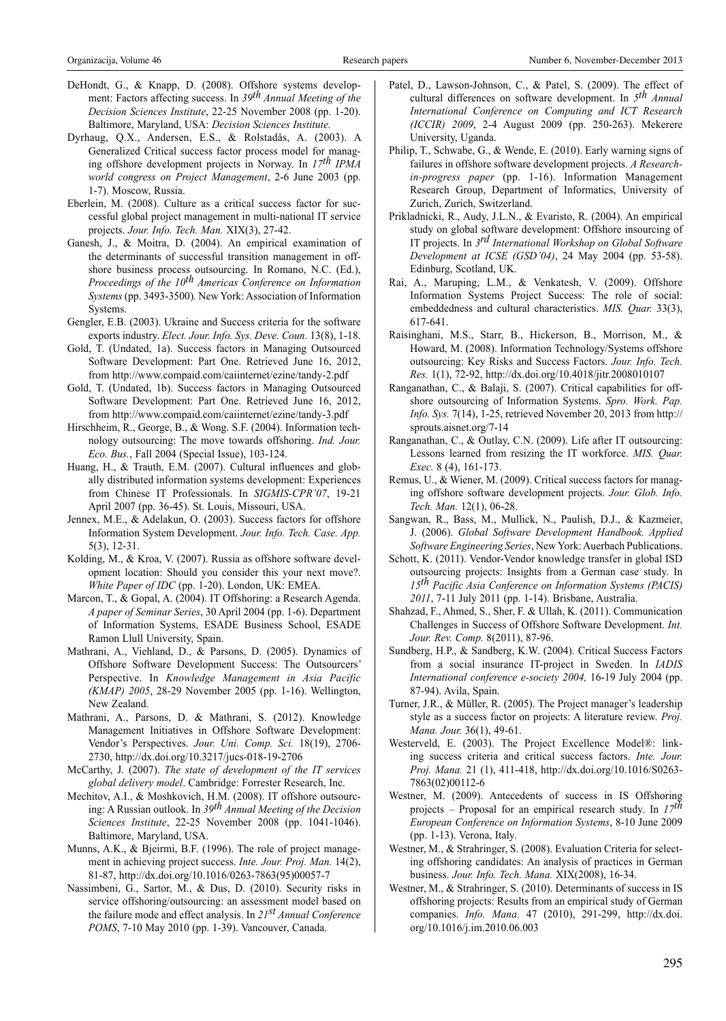- DeHondt, G., & Knapp, D. (2008). Offshore systems development: Factors affecting success. In *39th Annual Meeting of the Decision Sciences Institute*, 22-25 November 2008 (pp. 1-20). Baltimore, Maryland, USA: *Decision Sciences Institute.*
- Dyrhaug, Q.X., Andersen, E.S., & Rolstadås, A. (2003). A Generalized Critical success factor process model for managing offshore development projects in Norway. In *17th IPMA world congress on Project Management*, 2-6 June 2003 (pp. 1-7). Moscow, Russia.
- Eberlein, M. (2008). Culture as a critical success factor for successful global project management in multi-national IT service projects. *Jour. Info. Tech. Man.* XIX(3), 27-42.
- Ganesh, J., & Moitra, D. (2004). An empirical examination of the determinants of successful transition management in offshore business process outsourcing. In Romano, N.C. (Ed.), *Proceedings of the 10th Americas Conference on Information Systems* (pp. 3493-3500)*.* New York: Association of Information Systems.
- Gengler, E.B. (2003). Ukraine and Success criteria for the software exports industry. *Elect. Jour. Info. Sys. Deve. Coun.* 13(8), 1-18.
- Gold, T. (Undated, 1a). Success factors in Managing Outsourced Software Development: Part One. Retrieved June 16, 2012, from http://www.compaid.com/caiinternet/ezine/tandy-2.pdf
- Gold, T. (Undated, 1b). Success factors in Managing Outsourced Software Development: Part One. Retrieved June 16, 2012, from http://www.compaid.com/caiinternet/ezine/tandy-3.pdf
- Hirschheim, R., George, B., & Wong. S.F. (2004). Information technology outsourcing: The move towards offshoring. *Ind. Jour. Eco. Bus.*, Fall 2004 (Special Issue), 103-124.
- Huang, H., & Trauth, E.M. (2007). Cultural influences and globally distributed information systems development: Experiences from Chinese IT Professionals. In *SIGMIS-CPR'07*, 19-21 April 2007 (pp. 36-45). St. Louis, Missouri, USA.
- Jennex, M.E., & Adelakun, O. (2003). Success factors for offshore Information System Development. *Jour. Info. Tech. Case. App.*  5(3), 12-31.
- Kolding, M., & Kroa, V. (2007). Russia as offshore software development location: Should you consider this your next move?. *White Paper of IDC* (pp. 1-20). London, UK: EMEA.
- Marcon, T., & Gopal, A. (2004). IT Offshoring: a Research Agenda. *A paper of Seminar Series*, 30 April 2004 (pp. 1-6). Department of Information Systems, ESADE Business School, ESADE Ramon Llull University, Spain.
- Mathrani, A., Viehland, D., & Parsons, D. (2005). Dynamics of Offshore Software Development Success: The Outsourcers' Perspective. In *Knowledge Management in Asia Pacific (KMAP) 2005*, 28-29 November 2005 (pp. 1-16). Wellington, New Zealand.
- Mathrani, A., Parsons, D. & Mathrani, S. (2012). Knowledge Management Initiatives in Offshore Software Development: Vendor's Perspectives. *Jour. Uni. Comp. Sci.* 18(19), 2706- 2730, http://dx.doi.org/10.3217/jucs-018-19-2706
- McCarthy, J. (2007). *The state of development of the IT services global delivery model*. Cambridge: Forrester Research, Inc.
- Mechitov, A.I., & Moshkovich, H.M. (2008). IT offshore outsourcing: A Russian outlook. In *39th Annual Meeting of the Decision Sciences Institute*, 22-25 November 2008 (pp. 1041-1046). Baltimore, Maryland, USA.
- Munns, A.K., & Bjeirmi, B.F. (1996). The role of project management in achieving project success. *Inte. Jour. Proj. Man.* 14(2), 81-87, http://dx.doi.org/10.1016/0263-7863(95)00057-7
- Nassimbeni, G., Sartor, M., & Dus, D. (2010). Security risks in service offshoring/outsourcing: an assessment model based on the failure mode and effect analysis. In *21st Annual Conference POMS*, 7-10 May 2010 (pp. 1-39). Vancouver, Canada.
- Patel, D., Lawson-Johnson, C., & Patel, S. (2009). The effect of cultural differences on software development. In *5th Annual International Conference on Computing and ICT Research (ICCIR) 2009*, 2-4 August 2009 (pp. 250-263). Mekerere University, Uganda.
- Philip, T., Schwabe, G., & Wende, E. (2010). Early warning signs of failures in offshore software development projects. *A Researchin-progress paper* (pp. 1-16). Information Management Research Group, Department of Informatics, University of Zurich, Zurich, Switzerland.
- Prikladnicki, R., Audy, J.L.N., & Evaristo, R. (2004). An empirical study on global software development: Offshore insourcing of IT projects. In *3rd International Workshop on Global Software Development at ICSE (GSD'04)*, 24 May 2004 (pp. 53-58). Edinburg, Scotland, UK.
- Rai, A., Maruping, L.M., & Venkatesh, V. (2009). Offshore Information Systems Project Success: The role of social: embeddedness and cultural characteristics. *MIS. Quar.* 33(3), 617-641.
- Raisinghani, M.S., Starr, B., Hickerson, B., Morrison, M., & Howard, M. (2008). Information Technology/Systems offshore outsourcing: Key Risks and Success Factors. *Jour. Info. Tech. Res.* 1(1), 72-92, http://dx.doi.org/10.4018/jitr.2008010107
- Ranganathan, C., & Balaji, S. (2007). Critical capabilities for offshore outsourcing of Information Systems. *Spro. Work. Pap. Info. Sys.* 7(14), 1-25, retrieved November 20, 2013 from http:// sprouts.aisnet.org/7-14
- Ranganathan, C., & Outlay, C.N. (2009). Life after IT outsourcing: Lessons learned from resizing the IT workforce. *MIS. Quar. Exec.* 8 (4), 161-173.
- Remus, U., & Wiener, M. (2009). Critical success factors for managing offshore software development projects. *Jour. Glob. Info. Tech. Man.* 12(1), 06-28.
- Sangwan, R., Bass, M., Mullick, N., Paulish, D.J., & Kazmeier, J. (2006). *Global Software Development Handbook. Applied Software Engineering Series*, New York: Auerbach Publications.
- Schott, K. (2011). Vendor-Vendor knowledge transfer in global ISD outsourcing projects: Insights from a German case study. In *15th Pacific Asia Conference on Information Systems (PACIS) 2011*, 7-11 July 2011 (pp. 1-14). Brisbane, Australia.
- Shahzad, F., Ahmed, S., Sher, F. & Ullah, K. (2011). Communication Challenges in Success of Offshore Software Development. *Int. Jour. Rev. Comp.* 8(2011), 87-96.
- Sundberg, H.P., & Sandberg, K.W. (2004). Critical Success Factors from a social insurance IT-project in Sweden. In *IADIS International conference e-society 2004,* 16-19 July 2004 (pp. 87-94). Avila, Spain.
- Turner, J.R., & Müller, R. (2005). The Project manager's leadership style as a success factor on projects: A literature review. *Proj. Mana. Jour.* 36(1), 49-61.
- Westerveld, E. (2003). The Project Excellence Model®: linking success criteria and critical success factors. *Inte. Jour. Proj. Mana.* 21 (1), 411-418, http://dx.doi.org/10.1016/S0263- 7863(02)00112-6
- Westner, M. (2009). Antecedents of success in IS Offshoring projects – Proposal for an empirical research study. In *17th European Conference on Information Systems*, 8-10 June 2009 (pp. 1-13). Verona, Italy.
- Westner, M., & Strahringer, S. (2008). Evaluation Criteria for selecting offshoring candidates: An analysis of practices in German business. *Jour. Info. Tech. Mana.* XIX(2008), 16-34.
- Westner, M., & Strahringer, S. (2010). Determinants of success in IS offshoring projects: Results from an empirical study of German companies. *Info. Mana.* 47 (2010), 291-299, http://dx.doi. org/10.1016/j.im.2010.06.003